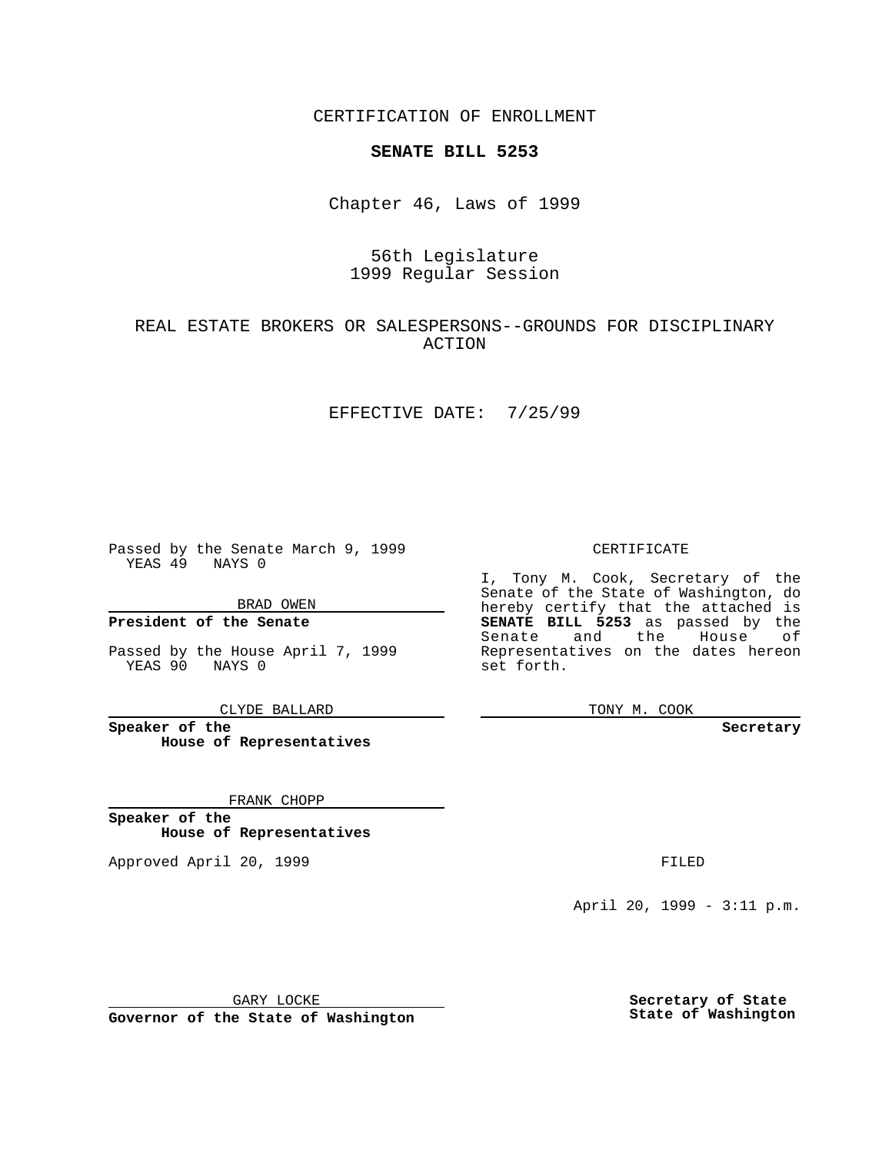CERTIFICATION OF ENROLLMENT

# **SENATE BILL 5253**

Chapter 46, Laws of 1999

# 56th Legislature 1999 Regular Session

## REAL ESTATE BROKERS OR SALESPERSONS--GROUNDS FOR DISCIPLINARY ACTION

#### EFFECTIVE DATE: 7/25/99

Passed by the Senate March 9, 1999 YEAS 49 NAYS 0

BRAD OWEN

**President of the Senate**

Passed by the House April 7, 1999 YEAS 90 NAYS 0

CLYDE BALLARD

**Speaker of the House of Representatives**

FRANK CHOPP

**Speaker of the House of Representatives**

Approved April 20, 1999 **FILED** 

#### CERTIFICATE

I, Tony M. Cook, Secretary of the Senate of the State of Washington, do hereby certify that the attached is **SENATE BILL 5253** as passed by the Senate and the House of Representatives on the dates hereon set forth.

TONY M. COOK

#### **Secretary**

April 20, 1999 - 3:11 p.m.

GARY LOCKE

**Governor of the State of Washington**

**Secretary of State State of Washington**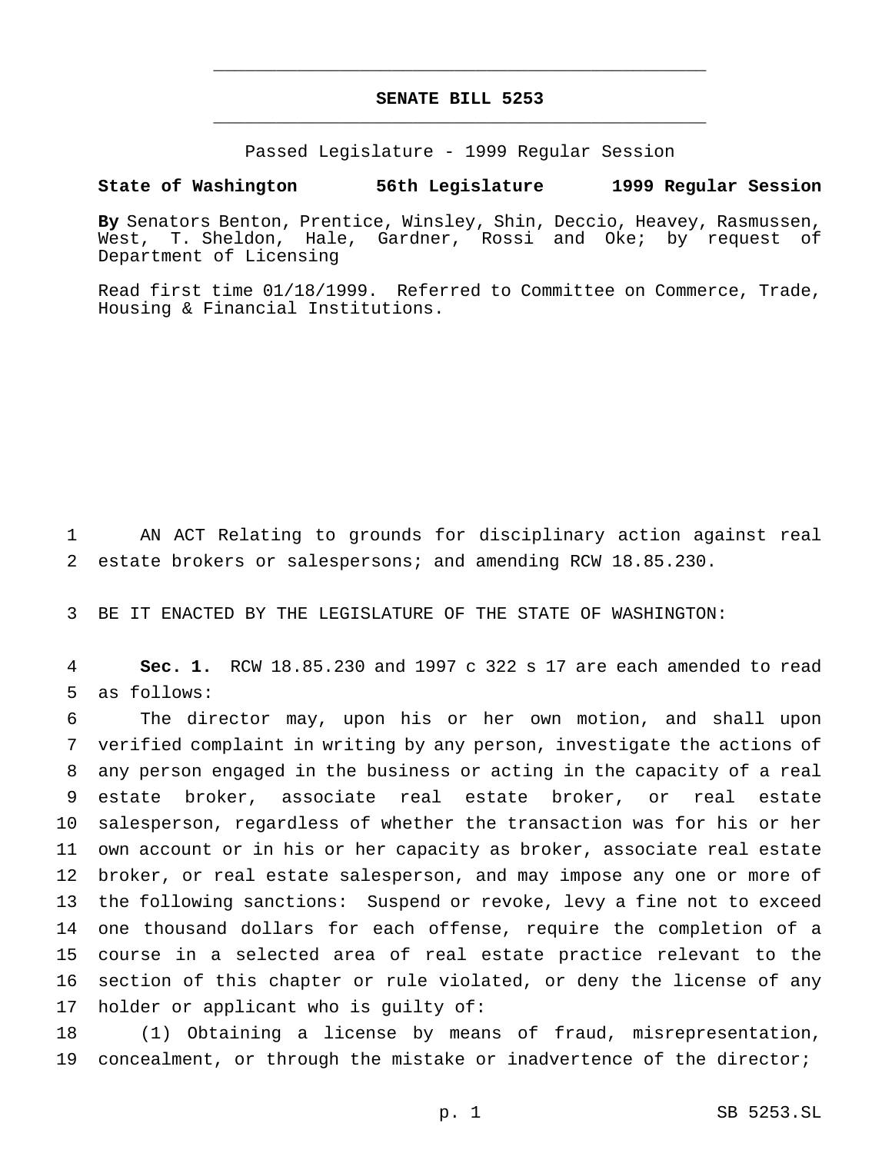# **SENATE BILL 5253** \_\_\_\_\_\_\_\_\_\_\_\_\_\_\_\_\_\_\_\_\_\_\_\_\_\_\_\_\_\_\_\_\_\_\_\_\_\_\_\_\_\_\_\_\_\_\_

\_\_\_\_\_\_\_\_\_\_\_\_\_\_\_\_\_\_\_\_\_\_\_\_\_\_\_\_\_\_\_\_\_\_\_\_\_\_\_\_\_\_\_\_\_\_\_

Passed Legislature - 1999 Regular Session

### **State of Washington 56th Legislature 1999 Regular Session**

**By** Senators Benton, Prentice, Winsley, Shin, Deccio, Heavey, Rasmussen, West, T. Sheldon, Hale, Gardner, Rossi and Oke; by request of Department of Licensing

Read first time 01/18/1999. Referred to Committee on Commerce, Trade, Housing & Financial Institutions.

1 AN ACT Relating to grounds for disciplinary action against real 2 estate brokers or salespersons; and amending RCW 18.85.230.

3 BE IT ENACTED BY THE LEGISLATURE OF THE STATE OF WASHINGTON:

4 **Sec. 1.** RCW 18.85.230 and 1997 c 322 s 17 are each amended to read 5 as follows:

 The director may, upon his or her own motion, and shall upon verified complaint in writing by any person, investigate the actions of any person engaged in the business or acting in the capacity of a real estate broker, associate real estate broker, or real estate salesperson, regardless of whether the transaction was for his or her own account or in his or her capacity as broker, associate real estate broker, or real estate salesperson, and may impose any one or more of the following sanctions: Suspend or revoke, levy a fine not to exceed one thousand dollars for each offense, require the completion of a course in a selected area of real estate practice relevant to the section of this chapter or rule violated, or deny the license of any holder or applicant who is guilty of:

18 (1) Obtaining a license by means of fraud, misrepresentation, 19 concealment, or through the mistake or inadvertence of the director;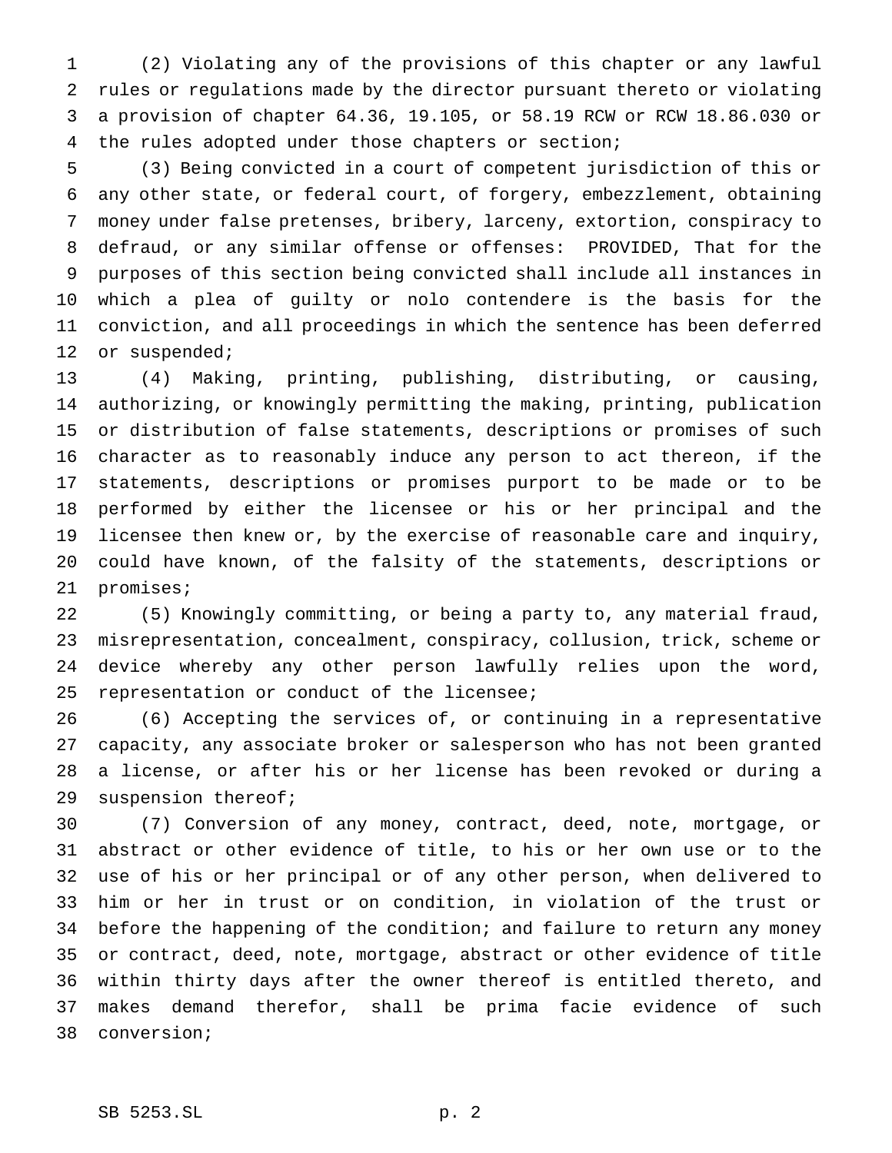(2) Violating any of the provisions of this chapter or any lawful rules or regulations made by the director pursuant thereto or violating a provision of chapter 64.36, 19.105, or 58.19 RCW or RCW 18.86.030 or the rules adopted under those chapters or section;

 (3) Being convicted in a court of competent jurisdiction of this or any other state, or federal court, of forgery, embezzlement, obtaining money under false pretenses, bribery, larceny, extortion, conspiracy to defraud, or any similar offense or offenses: PROVIDED, That for the purposes of this section being convicted shall include all instances in which a plea of guilty or nolo contendere is the basis for the conviction, and all proceedings in which the sentence has been deferred 12 or suspended;

 (4) Making, printing, publishing, distributing, or causing, authorizing, or knowingly permitting the making, printing, publication or distribution of false statements, descriptions or promises of such character as to reasonably induce any person to act thereon, if the statements, descriptions or promises purport to be made or to be performed by either the licensee or his or her principal and the licensee then knew or, by the exercise of reasonable care and inquiry, could have known, of the falsity of the statements, descriptions or promises;

 (5) Knowingly committing, or being a party to, any material fraud, misrepresentation, concealment, conspiracy, collusion, trick, scheme or device whereby any other person lawfully relies upon the word, representation or conduct of the licensee;

 (6) Accepting the services of, or continuing in a representative capacity, any associate broker or salesperson who has not been granted a license, or after his or her license has been revoked or during a suspension thereof;

 (7) Conversion of any money, contract, deed, note, mortgage, or abstract or other evidence of title, to his or her own use or to the use of his or her principal or of any other person, when delivered to him or her in trust or on condition, in violation of the trust or 34 before the happening of the condition; and failure to return any money or contract, deed, note, mortgage, abstract or other evidence of title within thirty days after the owner thereof is entitled thereto, and makes demand therefor, shall be prima facie evidence of such conversion;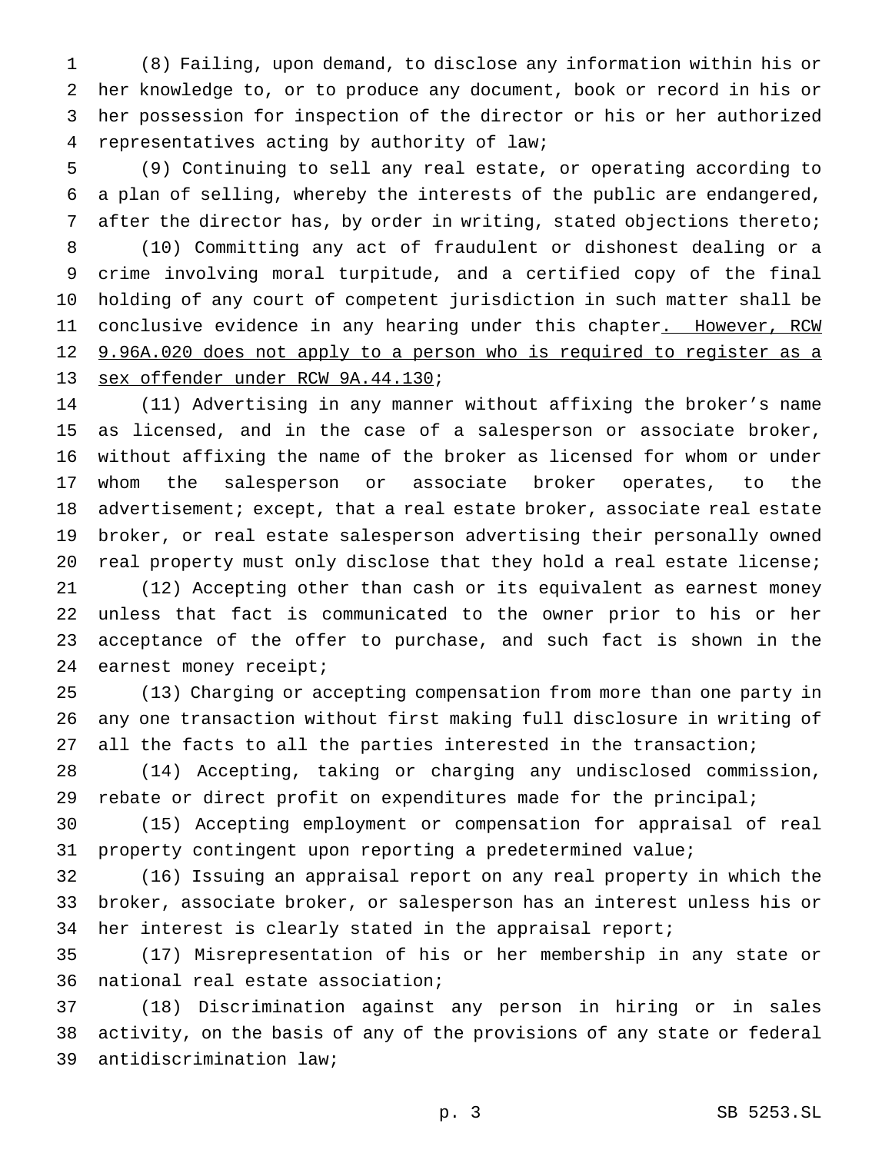(8) Failing, upon demand, to disclose any information within his or her knowledge to, or to produce any document, book or record in his or her possession for inspection of the director or his or her authorized representatives acting by authority of law;

 (9) Continuing to sell any real estate, or operating according to a plan of selling, whereby the interests of the public are endangered, after the director has, by order in writing, stated objections thereto;

 (10) Committing any act of fraudulent or dishonest dealing or a crime involving moral turpitude, and a certified copy of the final holding of any court of competent jurisdiction in such matter shall be 11 conclusive evidence in any hearing under this chapter<u>. However, RCW</u> 12 9.96A.020 does not apply to a person who is required to register as a sex offender under RCW 9A.44.130;

 (11) Advertising in any manner without affixing the broker's name as licensed, and in the case of a salesperson or associate broker, without affixing the name of the broker as licensed for whom or under whom the salesperson or associate broker operates, to the 18 advertisement; except, that a real estate broker, associate real estate broker, or real estate salesperson advertising their personally owned 20 real property must only disclose that they hold a real estate license;

 (12) Accepting other than cash or its equivalent as earnest money unless that fact is communicated to the owner prior to his or her acceptance of the offer to purchase, and such fact is shown in the 24 earnest money receipt;

 (13) Charging or accepting compensation from more than one party in any one transaction without first making full disclosure in writing of all the facts to all the parties interested in the transaction;

 (14) Accepting, taking or charging any undisclosed commission, rebate or direct profit on expenditures made for the principal;

 (15) Accepting employment or compensation for appraisal of real property contingent upon reporting a predetermined value;

 (16) Issuing an appraisal report on any real property in which the broker, associate broker, or salesperson has an interest unless his or her interest is clearly stated in the appraisal report;

 (17) Misrepresentation of his or her membership in any state or national real estate association;

 (18) Discrimination against any person in hiring or in sales activity, on the basis of any of the provisions of any state or federal antidiscrimination law;